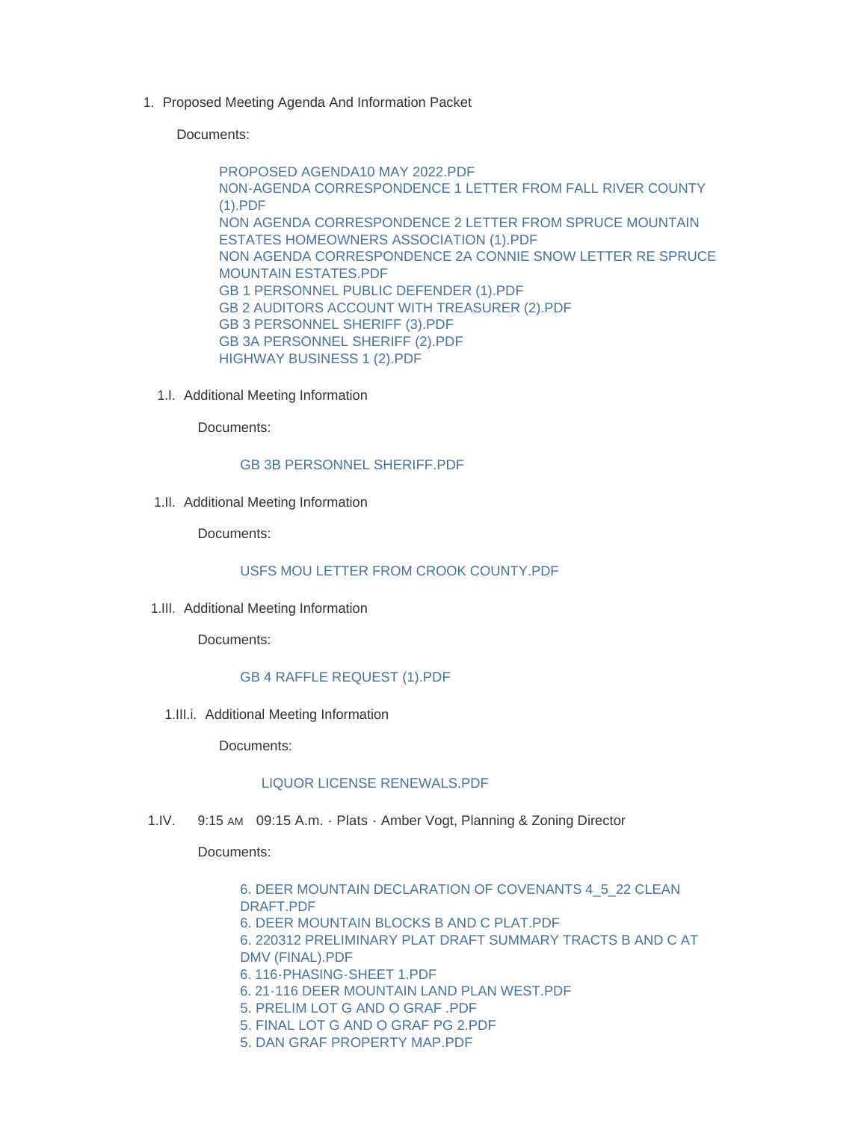1. Proposed Meeting Agenda And Information Packet

Documents:

[PROPOSED AGENDA10 MAY 2022.PDF](https://www.lawrence.sd.us/AgendaCenter/ViewFile/Item/639?fileID=8247) [NON-AGENDA CORRESPONDENCE 1 LETTER FROM FALL RIVER COUNTY](https://www.lawrence.sd.us/AgendaCenter/ViewFile/Item/639?fileID=8239)  (1).PDF [NON AGENDA CORRESPONDENCE 2 LETTER FROM SPRUCE MOUNTAIN](https://www.lawrence.sd.us/AgendaCenter/ViewFile/Item/639?fileID=8240)  ESTATES HOMEOWNERS ASSOCIATION (1).PDF [NON AGENDA CORRESPONDENCE 2A CONNIE SNOW LETTER RE SPRUCE](https://www.lawrence.sd.us/AgendaCenter/ViewFile/Item/639?fileID=8241)  MOUNTAIN ESTATES.PDF [GB 1 PERSONNEL PUBLIC DEFENDER \(1\).PDF](https://www.lawrence.sd.us/AgendaCenter/ViewFile/Item/639?fileID=8242) [GB 2 AUDITORS ACCOUNT WITH TREASURER \(2\).PDF](https://www.lawrence.sd.us/AgendaCenter/ViewFile/Item/639?fileID=8243) [GB 3 PERSONNEL SHERIFF \(3\).PDF](https://www.lawrence.sd.us/AgendaCenter/ViewFile/Item/639?fileID=8244) [GB 3A PERSONNEL SHERIFF \(2\).PDF](https://www.lawrence.sd.us/AgendaCenter/ViewFile/Item/639?fileID=8245) [HIGHWAY BUSINESS 1 \(2\).PDF](https://www.lawrence.sd.us/AgendaCenter/ViewFile/Item/639?fileID=8246)

1.I. Additional Meeting Information

Documents:

## **GB 3B PERSONNEL SHERIFF PDF**

1.II. Additional Meeting Information

Documents:

## [USFS MOU LETTER FROM CROOK COUNTY.PDF](https://www.lawrence.sd.us/AgendaCenter/ViewFile/Item/643?fileID=8251)

1.III. Additional Meeting Information

Documents:

## [GB 4 RAFFLE REQUEST \(1\).PDF](https://www.lawrence.sd.us/AgendaCenter/ViewFile/Item/642?fileID=8250)

1.III.i. Additional Meeting Information

Documents:

## [LIQUOR LICENSE RENEWALS.PDF](https://www.lawrence.sd.us/AgendaCenter/ViewFile/Item/644?fileID=8252)

1.IV. 9:15 AM 09:15 A.m. - Plats - Amber Vogt, Planning & Zoning Director

Documents:

[6. DEER MOUNTAIN DECLARATION OF COVENANTS 4\\_5\\_22 CLEAN](https://www.lawrence.sd.us/AgendaCenter/ViewFile/Item/632?fileID=8176)  DRAFT.PDF [6. DEER MOUNTAIN BLOCKS B AND C PLAT.PDF](https://www.lawrence.sd.us/AgendaCenter/ViewFile/Item/632?fileID=8177) [6. 220312 PRELIMINARY PLAT DRAFT SUMMARY TRACTS B AND C AT](https://www.lawrence.sd.us/AgendaCenter/ViewFile/Item/632?fileID=8178)  DMV (FINAL).PDF [6. 116-PHASING-SHEET 1.PDF](https://www.lawrence.sd.us/AgendaCenter/ViewFile/Item/632?fileID=8179) [6. 21-116 DEER MOUNTAIN LAND PLAN WEST.PDF](https://www.lawrence.sd.us/AgendaCenter/ViewFile/Item/632?fileID=8180) [5. PRELIM LOT G AND O GRAF .PDF](https://www.lawrence.sd.us/AgendaCenter/ViewFile/Item/632?fileID=8181) [5. FINAL LOT G AND O GRAF PG 2.PDF](https://www.lawrence.sd.us/AgendaCenter/ViewFile/Item/632?fileID=8182) [5. DAN GRAF PROPERTY MAP.PDF](https://www.lawrence.sd.us/AgendaCenter/ViewFile/Item/632?fileID=8183)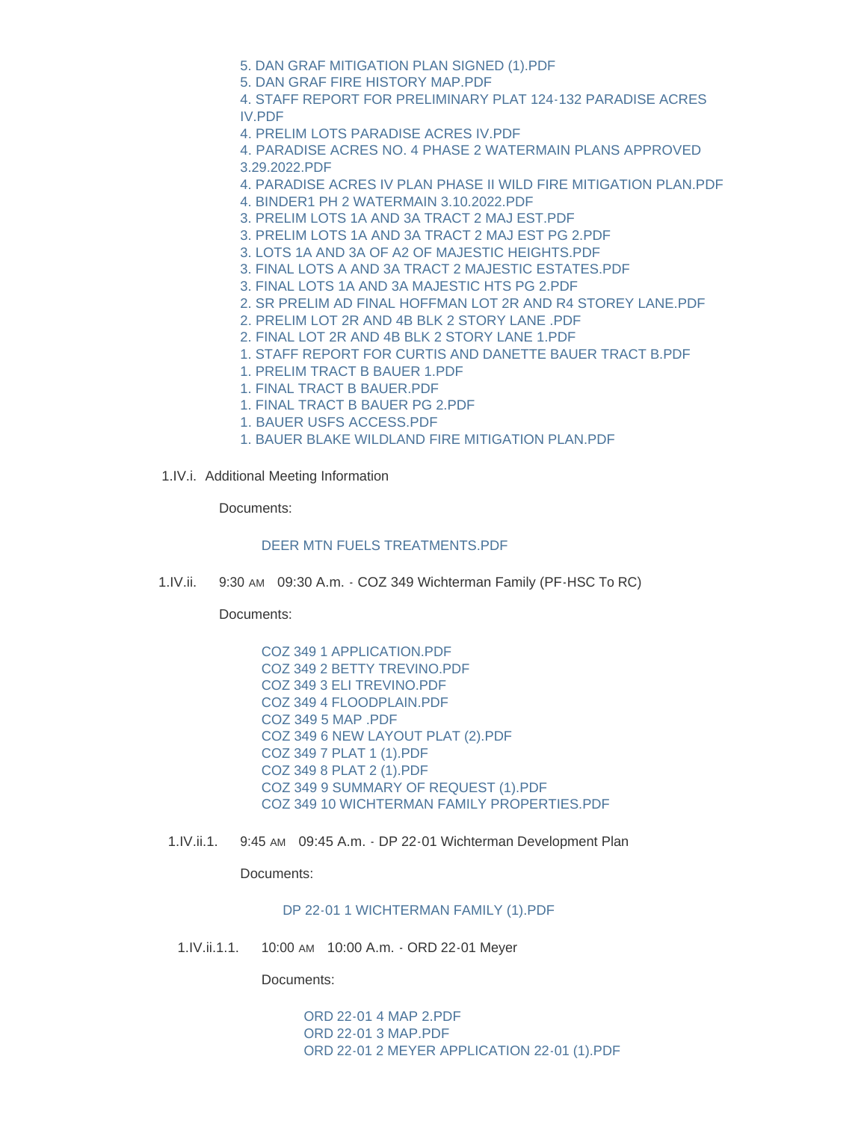- [5. DAN GRAF MITIGATION PLAN SIGNED \(1\).PDF](https://www.lawrence.sd.us/AgendaCenter/ViewFile/Item/632?fileID=8184)
- [5. DAN GRAF FIRE HISTORY MAP.PDF](https://www.lawrence.sd.us/AgendaCenter/ViewFile/Item/632?fileID=8185)
- [4. STAFF REPORT FOR PRELIMINARY PLAT 124-132 PARADISE ACRES](https://www.lawrence.sd.us/AgendaCenter/ViewFile/Item/632?fileID=8186)  IV.PDF
- [4. PRELIM LOTS PARADISE ACRES IV.PDF](https://www.lawrence.sd.us/AgendaCenter/ViewFile/Item/632?fileID=8187)
- [4. PARADISE ACRES NO. 4 PHASE 2 WATERMAIN PLANS APPROVED](https://www.lawrence.sd.us/AgendaCenter/ViewFile/Item/632?fileID=8188)  3.29.2022.PDF
- [4. PARADISE ACRES IV PLAN PHASE II WILD FIRE MITIGATION PLAN.PDF](https://www.lawrence.sd.us/AgendaCenter/ViewFile/Item/632?fileID=8189)
- [4. BINDER1 PH 2 WATERMAIN 3.10.2022.PDF](https://www.lawrence.sd.us/AgendaCenter/ViewFile/Item/632?fileID=8190)
- [3. PRELIM LOTS 1A AND 3A TRACT 2 MAJ EST.PDF](https://www.lawrence.sd.us/AgendaCenter/ViewFile/Item/632?fileID=8191)
- [3. PRELIM LOTS 1A AND 3A TRACT 2 MAJ EST PG 2.PDF](https://www.lawrence.sd.us/AgendaCenter/ViewFile/Item/632?fileID=8192)
- [3. LOTS 1A AND 3A OF A2 OF MAJESTIC HEIGHTS.PDF](https://www.lawrence.sd.us/AgendaCenter/ViewFile/Item/632?fileID=8193)
- [3. FINAL LOTS A AND 3A TRACT 2 MAJESTIC ESTATES.PDF](https://www.lawrence.sd.us/AgendaCenter/ViewFile/Item/632?fileID=8194)
- [3. FINAL LOTS 1A AND 3A MAJESTIC HTS PG 2.PDF](https://www.lawrence.sd.us/AgendaCenter/ViewFile/Item/632?fileID=8195)
- [2. SR PRELIM AD FINAL HOFFMAN LOT 2R AND R4 STOREY LANE.PDF](https://www.lawrence.sd.us/AgendaCenter/ViewFile/Item/632?fileID=8196)
- [2. PRELIM LOT 2R AND 4B BLK 2 STORY LANE .PDF](https://www.lawrence.sd.us/AgendaCenter/ViewFile/Item/632?fileID=8197)
- [2. FINAL LOT 2R AND 4B BLK 2 STORY LANE 1.PDF](https://www.lawrence.sd.us/AgendaCenter/ViewFile/Item/632?fileID=8198)
- [1. STAFF REPORT FOR CURTIS AND DANETTE BAUER TRACT B.PDF](https://www.lawrence.sd.us/AgendaCenter/ViewFile/Item/632?fileID=8199)
- [1. PRELIM TRACT B BAUER 1.PDF](https://www.lawrence.sd.us/AgendaCenter/ViewFile/Item/632?fileID=8200)
- [1. FINAL TRACT B BAUER.PDF](https://www.lawrence.sd.us/AgendaCenter/ViewFile/Item/632?fileID=8201)
- [1. FINAL TRACT B BAUER PG 2.PDF](https://www.lawrence.sd.us/AgendaCenter/ViewFile/Item/632?fileID=8202)
- [1. BAUER USFS ACCESS.PDF](https://www.lawrence.sd.us/AgendaCenter/ViewFile/Item/632?fileID=8203)
- [1. BAUER BLAKE WILDLAND FIRE MITIGATION PLAN.PDF](https://www.lawrence.sd.us/AgendaCenter/ViewFile/Item/632?fileID=8204)
- 1.IV.i. Additional Meeting Information

Documents:

## [DEER MTN FUELS TREATMENTS.PDF](https://www.lawrence.sd.us/AgendaCenter/ViewFile/Item/646?fileID=8253)

1.IV.ii. 9:30 AM 09:30 A.m. - COZ 349 Wichterman Family (PF-HSC To RC)

Documents:

- [COZ 349 1 APPLICATION.PDF](https://www.lawrence.sd.us/AgendaCenter/ViewFile/Item/633?fileID=8205) [COZ 349 2 BETTY TREVINO.PDF](https://www.lawrence.sd.us/AgendaCenter/ViewFile/Item/633?fileID=8206) [COZ 349 3 ELI TREVINO.PDF](https://www.lawrence.sd.us/AgendaCenter/ViewFile/Item/633?fileID=8207) [COZ 349 4 FLOODPLAIN.PDF](https://www.lawrence.sd.us/AgendaCenter/ViewFile/Item/633?fileID=8208) [COZ 349 5 MAP .PDF](https://www.lawrence.sd.us/AgendaCenter/ViewFile/Item/633?fileID=8209) [COZ 349 6 NEW LAYOUT PLAT \(2\).PDF](https://www.lawrence.sd.us/AgendaCenter/ViewFile/Item/633?fileID=8210) [COZ 349 7 PLAT 1 \(1\).PDF](https://www.lawrence.sd.us/AgendaCenter/ViewFile/Item/633?fileID=8211) [COZ 349 8 PLAT 2 \(1\).PDF](https://www.lawrence.sd.us/AgendaCenter/ViewFile/Item/633?fileID=8212) [COZ 349 9 SUMMARY OF REQUEST \(1\).PDF](https://www.lawrence.sd.us/AgendaCenter/ViewFile/Item/633?fileID=8213) [COZ 349 10 WICHTERMAN FAMILY PROPERTIES.PDF](https://www.lawrence.sd.us/AgendaCenter/ViewFile/Item/633?fileID=8214)
- 1.IV.ii.1. 9:45 AM 09:45 A.m. DP 22-01 Wichterman Development Plan

Documents:

[DP 22-01 1 WICHTERMAN FAMILY \(1\).PDF](https://www.lawrence.sd.us/AgendaCenter/ViewFile/Item/634?fileID=8215)

1.IV.ii.1.1. 10:00 AM 10:00 A.m. - ORD 22-01 Meyer

Documents:

[ORD 22-01 4 MAP 2.PDF](https://www.lawrence.sd.us/AgendaCenter/ViewFile/Item/635?fileID=8216) [ORD 22-01 3 MAP.PDF](https://www.lawrence.sd.us/AgendaCenter/ViewFile/Item/635?fileID=8217) [ORD 22-01 2 MEYER APPLICATION 22-01 \(1\).PDF](https://www.lawrence.sd.us/AgendaCenter/ViewFile/Item/635?fileID=8218)